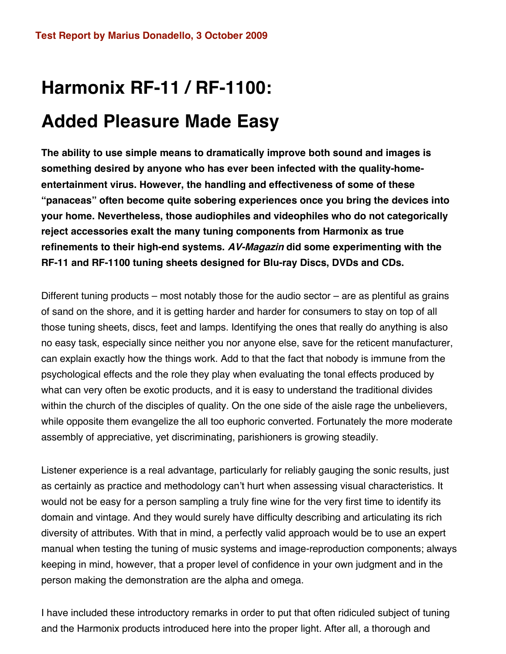# **Harmonix RF-11 / RF-1100: Added Pleasure Made Easy**

**The ability to use simple means to dramatically improve both sound and images is something desired by anyone who has ever been infected with the quality-homeentertainment virus. However, the handling and effectiveness of some of these "panaceas" often become quite sobering experiences once you bring the devices into your home. Nevertheless, those audiophiles and videophiles who do not categorically reject accessories exalt the many tuning components from Harmonix as true refinements to their high-end systems. AV-Magazin did some experimenting with the RF-11 and RF-1100 tuning sheets designed for Blu-ray Discs, DVDs and CDs.**

Different tuning products – most notably those for the audio sector – are as plentiful as grains of sand on the shore, and it is getting harder and harder for consumers to stay on top of all those tuning sheets, discs, feet and lamps. Identifying the ones that really do anything is also no easy task, especially since neither you nor anyone else, save for the reticent manufacturer, can explain exactly how the things work. Add to that the fact that nobody is immune from the psychological effects and the role they play when evaluating the tonal effects produced by what can very often be exotic products, and it is easy to understand the traditional divides within the church of the disciples of quality. On the one side of the aisle rage the unbelievers, while opposite them evangelize the all too euphoric converted. Fortunately the more moderate assembly of appreciative, yet discriminating, parishioners is growing steadily.

Listener experience is a real advantage, particularly for reliably gauging the sonic results, just as certainly as practice and methodology can't hurt when assessing visual characteristics. It would not be easy for a person sampling a truly fine wine for the very first time to identify its domain and vintage. And they would surely have difficulty describing and articulating its rich diversity of attributes. With that in mind, a perfectly valid approach would be to use an expert manual when testing the tuning of music systems and image-reproduction components; always keeping in mind, however, that a proper level of confidence in your own judgment and in the person making the demonstration are the alpha and omega.

I have included these introductory remarks in order to put that often ridiculed subject of tuning and the Harmonix products introduced here into the proper light. After all, a thorough and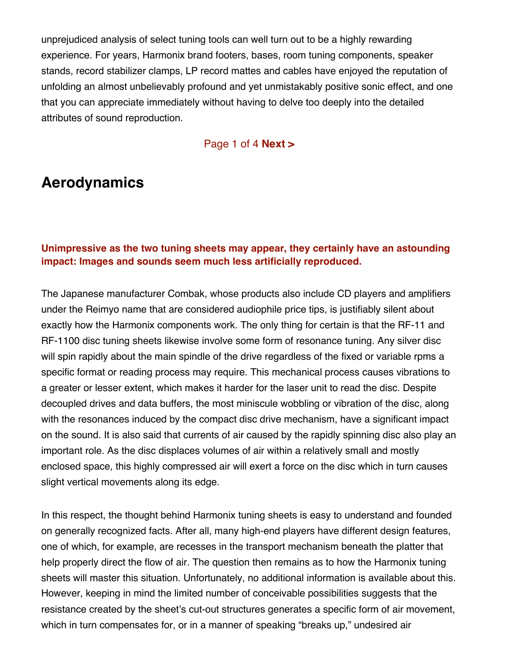unprejudiced analysis of select tuning tools can well turn out to be a highly rewarding experience. For years, Harmonix brand footers, bases, room tuning components, speaker stands, record stabilizer clamps, LP record mattes and cables have enjoyed the reputation of unfolding an almost unbelievably profound and yet unmistakably positive sonic effect, and one that you can appreciate immediately without having to delve too deeply into the detailed attributes of sound reproduction.

### Page 1 of 4 **Next >**

### **Aerodynamics**

### **Unimpressive as the two tuning sheets may appear, they certainly have an astounding impact: Images and sounds seem much less artificially reproduced.**

The Japanese manufacturer Combak, whose products also include CD players and amplifiers under the Reimyo name that are considered audiophile price tips, is justifiably silent about exactly how the Harmonix components work. The only thing for certain is that the RF-11 and RF-1100 disc tuning sheets likewise involve some form of resonance tuning. Any silver disc will spin rapidly about the main spindle of the drive regardless of the fixed or variable rpms a specific format or reading process may require. This mechanical process causes vibrations to a greater or lesser extent, which makes it harder for the laser unit to read the disc. Despite decoupled drives and data buffers, the most miniscule wobbling or vibration of the disc, along with the resonances induced by the compact disc drive mechanism, have a significant impact on the sound. It is also said that currents of air caused by the rapidly spinning disc also play an important role. As the disc displaces volumes of air within a relatively small and mostly enclosed space, this highly compressed air will exert a force on the disc which in turn causes slight vertical movements along its edge.

In this respect, the thought behind Harmonix tuning sheets is easy to understand and founded on generally recognized facts. After all, many high-end players have different design features, one of which, for example, are recesses in the transport mechanism beneath the platter that help properly direct the flow of air. The question then remains as to how the Harmonix tuning sheets will master this situation. Unfortunately, no additional information is available about this. However, keeping in mind the limited number of conceivable possibilities suggests that the resistance created by the sheet's cut-out structures generates a specific form of air movement, which in turn compensates for, or in a manner of speaking "breaks up," undesired air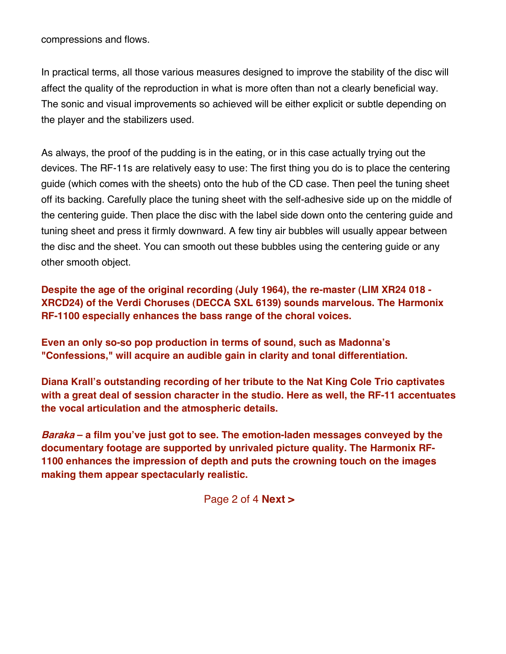compressions and flows.

In practical terms, all those various measures designed to improve the stability of the disc will affect the quality of the reproduction in what is more often than not a clearly beneficial way. The sonic and visual improvements so achieved will be either explicit or subtle depending on the player and the stabilizers used.

As always, the proof of the pudding is in the eating, or in this case actually trying out the devices. The RF-11s are relatively easy to use: The first thing you do is to place the centering guide (which comes with the sheets) onto the hub of the CD case. Then peel the tuning sheet off its backing. Carefully place the tuning sheet with the self-adhesive side up on the middle of the centering guide. Then place the disc with the label side down onto the centering guide and tuning sheet and press it firmly downward. A few tiny air bubbles will usually appear between the disc and the sheet. You can smooth out these bubbles using the centering guide or any other smooth object.

**Despite the age of the original recording (July 1964), the re-master (LIM XR24 018 - XRCD24) of the Verdi Choruses (DECCA SXL 6139) sounds marvelous. The Harmonix RF-1100 especially enhances the bass range of the choral voices.** 

**Even an only so-so pop production in terms of sound, such as Madonna's "Confessions," will acquire an audible gain in clarity and tonal differentiation.**

**Diana Krall's outstanding recording of her tribute to the Nat King Cole Trio captivates with a great deal of session character in the studio. Here as well, the RF-11 accentuates the vocal articulation and the atmospheric details.** 

**Baraka – a film you've just got to see. The emotion-laden messages conveyed by the documentary footage are supported by unrivaled picture quality. The Harmonix RF-1100 enhances the impression of depth and puts the crowning touch on the images making them appear spectacularly realistic.**

Page 2 of 4 **Next >**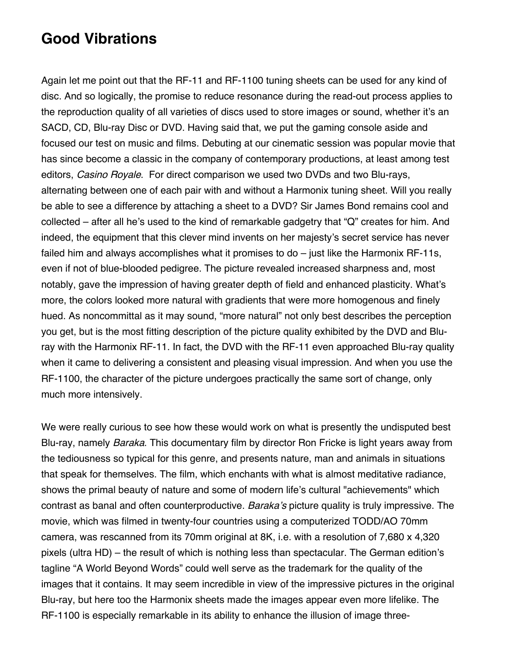## **Good Vibrations**

Again let me point out that the RF-11 and RF-1100 tuning sheets can be used for any kind of disc. And so logically, the promise to reduce resonance during the read-out process applies to the reproduction quality of all varieties of discs used to store images or sound, whether it's an SACD, CD, Blu-ray Disc or DVD. Having said that, we put the gaming console aside and focused our test on music and films. Debuting at our cinematic session was popular movie that has since become a classic in the company of contemporary productions, at least among test editors, Casino Royale. For direct comparison we used two DVDs and two Blu-rays, alternating between one of each pair with and without a Harmonix tuning sheet. Will you really be able to see a difference by attaching a sheet to a DVD? Sir James Bond remains cool and collected – after all he's used to the kind of remarkable gadgetry that "Q" creates for him. And indeed, the equipment that this clever mind invents on her majesty's secret service has never failed him and always accomplishes what it promises to do – just like the Harmonix RF-11s, even if not of blue-blooded pedigree. The picture revealed increased sharpness and, most notably, gave the impression of having greater depth of field and enhanced plasticity. What's more, the colors looked more natural with gradients that were more homogenous and finely hued. As noncommittal as it may sound, "more natural" not only best describes the perception you get, but is the most fitting description of the picture quality exhibited by the DVD and Bluray with the Harmonix RF-11. In fact, the DVD with the RF-11 even approached Blu-ray quality when it came to delivering a consistent and pleasing visual impression. And when you use the RF-1100, the character of the picture undergoes practically the same sort of change, only much more intensively.

We were really curious to see how these would work on what is presently the undisputed best Blu-ray, namely *Baraka*. This documentary film by director Ron Fricke is light years away from the tediousness so typical for this genre, and presents nature, man and animals in situations that speak for themselves. The film, which enchants with what is almost meditative radiance, shows the primal beauty of nature and some of modern life's cultural "achievements" which contrast as banal and often counterproductive. Baraka's picture quality is truly impressive. The movie, which was filmed in twenty-four countries using a computerized TODD/AO 70mm camera, was rescanned from its 70mm original at 8K, i.e. with a resolution of 7,680 x 4,320 pixels (ultra HD) – the result of which is nothing less than spectacular. The German edition's tagline "A World Beyond Words" could well serve as the trademark for the quality of the images that it contains. It may seem incredible in view of the impressive pictures in the original Blu-ray, but here too the Harmonix sheets made the images appear even more lifelike. The RF-1100 is especially remarkable in its ability to enhance the illusion of image three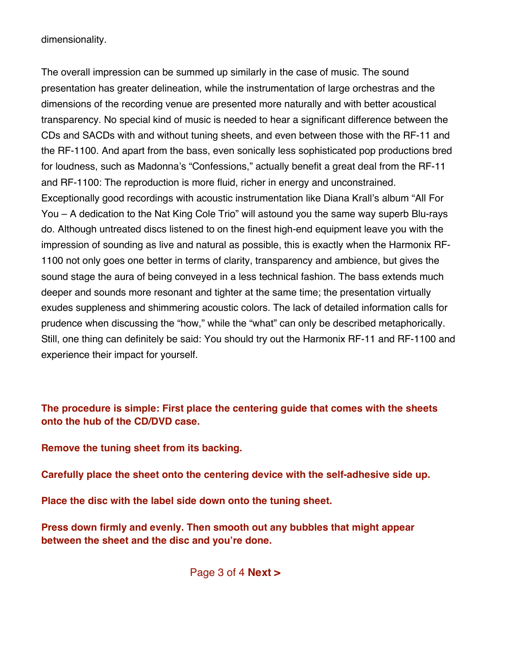dimensionality.

The overall impression can be summed up similarly in the case of music. The sound presentation has greater delineation, while the instrumentation of large orchestras and the dimensions of the recording venue are presented more naturally and with better acoustical transparency. No special kind of music is needed to hear a significant difference between the CDs and SACDs with and without tuning sheets, and even between those with the RF-11 and the RF-1100. And apart from the bass, even sonically less sophisticated pop productions bred for loudness, such as Madonna's "Confessions," actually benefit a great deal from the RF-11 and RF-1100: The reproduction is more fluid, richer in energy and unconstrained. Exceptionally good recordings with acoustic instrumentation like Diana Krall's album "All For You – A dedication to the Nat King Cole Trio" will astound you the same way superb Blu-rays do. Although untreated discs listened to on the finest high-end equipment leave you with the impression of sounding as live and natural as possible, this is exactly when the Harmonix RF-1100 not only goes one better in terms of clarity, transparency and ambience, but gives the sound stage the aura of being conveyed in a less technical fashion. The bass extends much deeper and sounds more resonant and tighter at the same time; the presentation virtually exudes suppleness and shimmering acoustic colors. The lack of detailed information calls for prudence when discussing the "how," while the "what" can only be described metaphorically. Still, one thing can definitely be said: You should try out the Harmonix RF-11 and RF-1100 and experience their impact for yourself.

### **The procedure is simple: First place the centering guide that comes with the sheets onto the hub of the CD/DVD case.**

**Remove the tuning sheet from its backing.**

**Carefully place the sheet onto the centering device with the self-adhesive side up.**

**Place the disc with the label side down onto the tuning sheet.** 

**Press down firmly and evenly. Then smooth out any bubbles that might appear between the sheet and the disc and you're done.** 

Page 3 of 4 **Next >**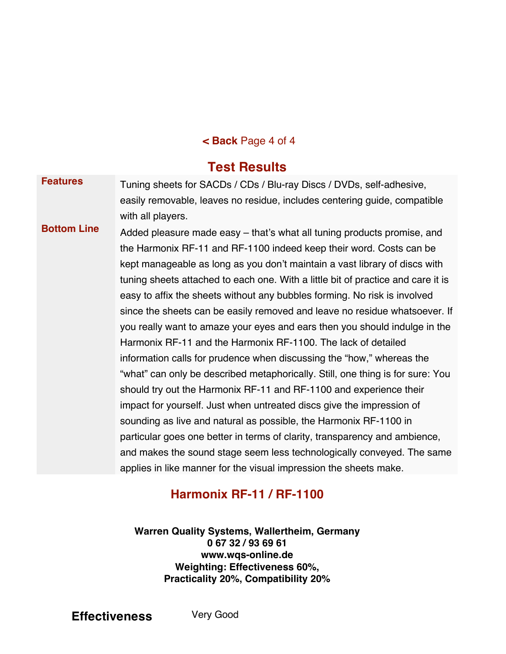### **< Back** Page 4 of 4

### **Test Results**

**Features** Tuning sheets for SACDs / CDs / Blu-ray Discs / DVDs, self-adhesive, easily removable, leaves no residue, includes centering guide, compatible with all players.

**Bottom Line** Added pleasure made easy – that's what all tuning products promise, and the Harmonix RF-11 and RF-1100 indeed keep their word. Costs can be kept manageable as long as you don't maintain a vast library of discs with tuning sheets attached to each one. With a little bit of practice and care it is easy to affix the sheets without any bubbles forming. No risk is involved since the sheets can be easily removed and leave no residue whatsoever. If you really want to amaze your eyes and ears then you should indulge in the Harmonix RF-11 and the Harmonix RF-1100. The lack of detailed information calls for prudence when discussing the "how," whereas the "what" can only be described metaphorically. Still, one thing is for sure: You should try out the Harmonix RF-11 and RF-1100 and experience their impact for yourself. Just when untreated discs give the impression of sounding as live and natural as possible, the Harmonix RF-1100 in particular goes one better in terms of clarity, transparency and ambience, and makes the sound stage seem less technologically conveyed. The same applies in like manner for the visual impression the sheets make.

### **Harmonix RF-11 / RF-1100**

**Warren Quality Systems, Wallertheim, Germany 0 67 32 / 93 69 61 www.wqs-online.de Weighting: Effectiveness 60%, Practicality 20%, Compatibility 20%**

**Effectiveness** Very Good